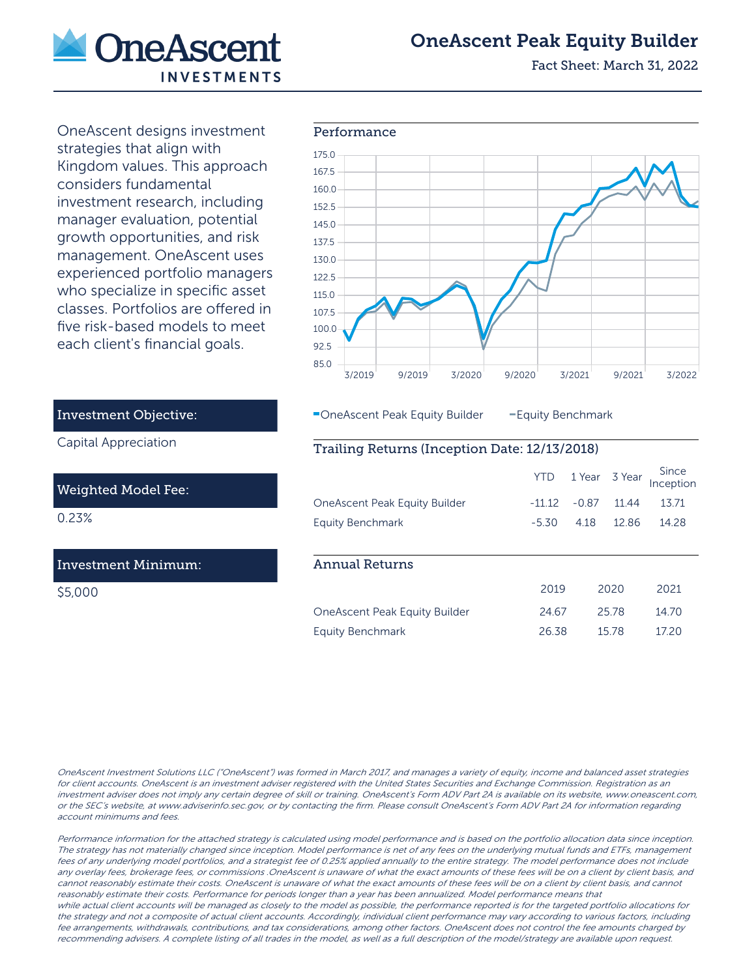

# OneAscent Peak Equity Builder

Fact Sheet: March 31, 2022

OneAscent designs investment strategies that align with Kingdom values. This approach considers fundamental investment research, including manager evaluation, potential growth opportunities, and risk management. OneAscent uses experienced portfolio managers who specialize in specific asset classes. Portfolios are offered in five risk-based models to meet each client's financial goals.



**-OneAscent Peak Equity Builder - Equity Benchmark** 

### Trailing Returns (Inception Date: 12/13/2018)

|                                      | <b>YTD</b> | 1 Year 3 Year |       | Since<br>Inception |
|--------------------------------------|------------|---------------|-------|--------------------|
| <b>OneAscent Peak Equity Builder</b> | $-1112$    | $-0.87$       | 1144  | 13.71              |
| Equity Benchmark                     | $-5.30$    | 418           | 1286  | 14.28              |
|                                      |            |               |       |                    |
| <b>Annual Returns</b>                |            |               |       |                    |
|                                      | 2019       |               | 2020  | 2021               |
| OneAscent Peak Equity Builder        | 24.67      |               | 2578  | 14.70              |
| Equity Benchmark                     | 26.38      |               | 15.78 | 1720               |

# Investment Objective:

Capital Appreciation

### Weighted Model Fee:

0.23%

## Investment Minimum:

\$5,000

OneAscent Investment Solutions LLC ("OneAscent") was formed in March 2017, and manages a variety of equity, income and balanced asset strategies for client accounts. OneAscent is an investment adviser registered with the United States Securities and Exchange Commission. Registration as an investment adviser does not imply any certain degree of skill or training. OneAscent's Form ADV Part 2A is available on its website, www.oneascent.com, or the SEC's website, at www.adviserinfo.sec.gov, or by contacting the firm. Please consult OneAscent's Form ADV Part 2A for information regarding account minimums and fees.

Performance information for the attached strategy is calculated using model performance and is based on the portfolio allocation data since inception. The strategy has not materially changed since inception. Model performance is net of any fees on the underlying mutual funds and ETFs, management fees of any underlying model portfolios, and a strategist fee of 0.25% applied annually to the entire strategy. The model performance does not include any overlay fees, brokerage fees, or commissions .OneAscent is unaware of what the exact amounts of these fees will be on a client by client basis, and cannot reasonably estimate their costs. OneAscent is unaware of what the exact amounts of these fees will be on a client by client basis, and cannot reasonably estimate their costs. Performance for periods longer than a year has been annualized. Model performance means that while actual client accounts will be managed as closely to the model as possible, the performance reported is for the targeted portfolio allocations for the strategy and not a composite of actual client accounts. Accordingly, individual client performance may vary according to various factors, including fee arrangements, withdrawals, contributions, and tax considerations, among other factors. OneAscent does not control the fee amounts charged by recommending advisers. A complete listing of all trades in the model, as well as a full description of the model/strategy are available upon request.